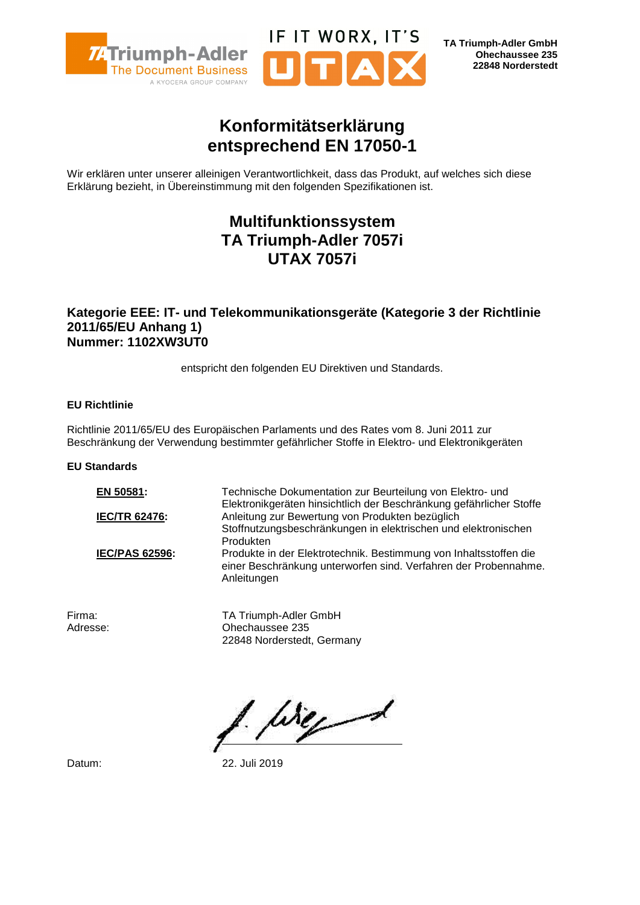

**TA Triumph-Adler GmbH Ohechaussee 235 22848 Norderstedt**

# **Konformitätserklärung entsprechend EN 17050-1**

IF IT WORX, IT'S

Wir erklären unter unserer alleinigen Verantwortlichkeit, dass das Produkt, auf welches sich diese Erklärung bezieht, in Übereinstimmung mit den folgenden Spezifikationen ist.

# **Multifunktionssystem TA Triumph-Adler 7057i UTAX 7057i**

### **Kategorie EEE: IT- und Telekommunikationsgeräte (Kategorie 3 der Richtlinie 2011/65/EU Anhang 1) Nummer: 1102XW3UT0**

entspricht den folgenden EU Direktiven und Standards.

#### **EU Richtlinie**

Richtlinie 2011/65/EU des Europäischen Parlaments und des Rates vom 8. Juni 2011 zur Beschränkung der Verwendung bestimmter gefährlicher Stoffe in Elektro- und Elektronikgeräten

#### **EU Standards**

**EN 50581:** Technische Dokumentation zur Beurteilung von Elektro- und Elektronikgeräten hinsichtlich der Beschränkung gefährlicher Stoffe **IEC/TR 62476:** Anleitung zur Bewertung von Produkten bezüglich Stoffnutzungsbeschränkungen in elektrischen und elektronischen Produkten **IEC/PAS 62596:** Produkte in der Elektrotechnik. Bestimmung von Inhaltsstoffen die einer Beschränkung unterworfen sind. Verfahren der Probennahme. Anleitungen

Firma: TA Triumph-Adler GmbH Adresse: Ohechaussee 235 22848 Norderstedt, Germany

1. Weg

Datum: 22. Juli 2019